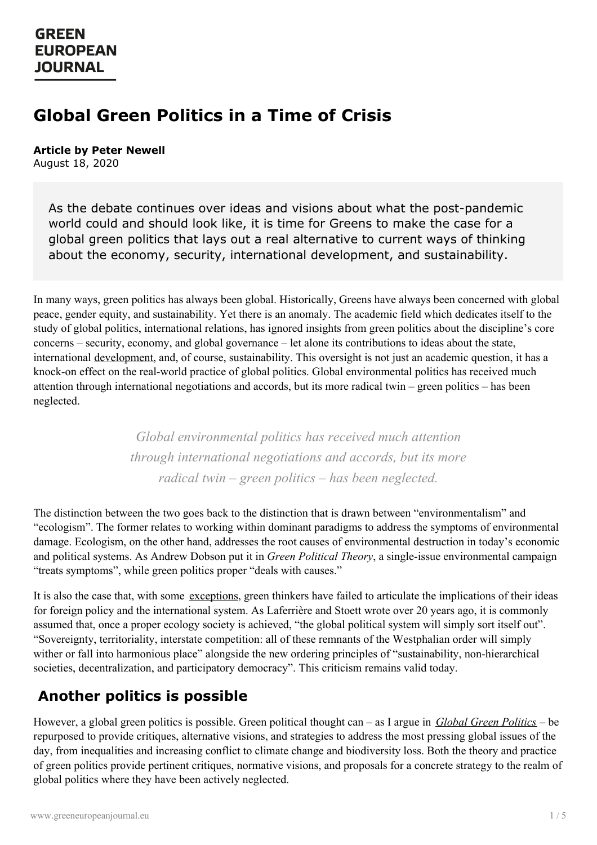# **Global Green Politics in a Time of Crisis**

**Article by Peter Newell** August 18, 2020

> As the debate continues over ideas and visions about what the post-pandemic world could and should look like, it is time for Greens to make the case for a global green politics that lays out a real alternative to current ways of thinking about the economy, security, international development, and sustainability.

In many ways, green politics has always been global. Historically, Greens have always been concerned with global peace, gender equity, and sustainability. Yet there is an anomaly. The academic field which dedicates itself to the study of global politics, international relations, has ignored insights from green politics about the discipline's core concerns – security, economy, and global governance – let alone its contributions to ideas about the state, international [development](https://www.greenhousethinktank.org/uploads/4/8/3/2/48324387/green_politics_and_international_development_final.pdf), and, of course, sustainability. This oversight is not just an academic question, it has a knock-on effect on the real-world practice of global politics. Global environmental politics has received much attention through international negotiations and accords, but its more radical twin – green politics – has been neglected.

> *Global environmental politics has received much attention through international negotiations and accords, but its more radical twin – green politics – has been neglected.*

The distinction between the two goes back to the distinction that is drawn between "environmentalism" and "ecologism". The former relates to working within dominant paradigms to address the symptoms of environmental damage. Ecologism, on the other hand, addresses the root causes of environmental destruction in today's economic and political systems. As Andrew Dobson put it in *Green Political Theory*, a single-issue environmental campaign "treats symptoms", while green politics proper "deals with causes."

It is also the case that, with some [exceptions](https://www.greeneuropeanjournal.eu/edition/peace-love-and-intervention/), green thinkers have failed to articulate the implications of their ideas for foreign policy and the international system. As Laferrière and Stoett wrote over 20 years ago, it is commonly assumed that, once a proper ecology society is achieved, "the global political system will simply sort itself out". "Sovereignty, territoriality, interstate competition: all of these remnants of the Westphalian order will simply wither or fall into harmonious place" alongside the new ordering principles of "sustainability, non-hierarchical societies, decentralization, and participatory democracy". This criticism remains valid today.

# **Another politics is possible**

However, a global green politics is possible. Green political thought can – as I argue in *Global Green [Politics](https://www.cambridge.org/core/books/global-green-politics/DFDB291544D660807E364F22E66865FE)* – be repurposed to provide critiques, alternative visions, and strategies to address the most pressing global issues of the day, from inequalities and increasing conflict to climate change and biodiversity loss. Both the theory and practice of green politics provide pertinent critiques, normative visions, and proposals for a concrete strategy to the realm of global politics where they have been actively neglected.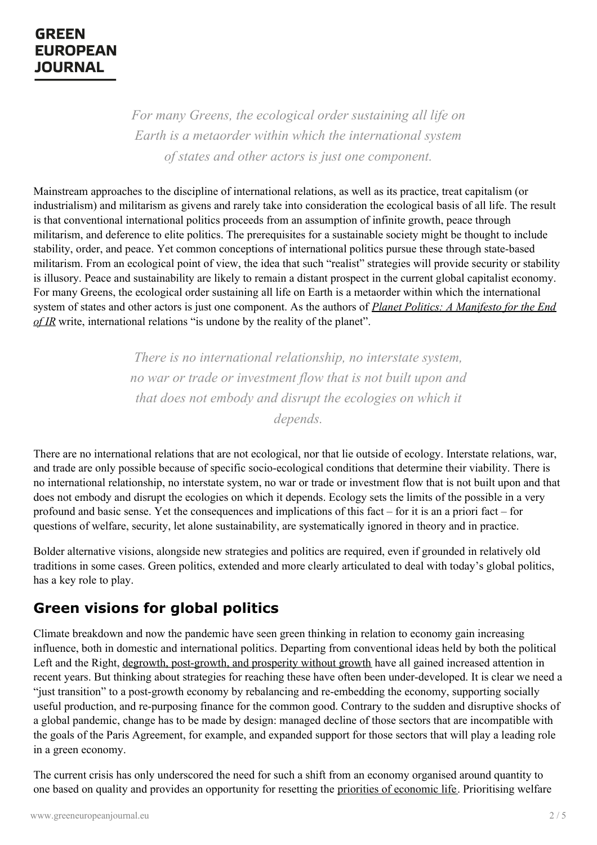*For many Greens, the ecological order sustaining all life on Earth is a metaorder within which the international system of states and other actors is just one component.*

Mainstream approaches to the discipline of international relations, as well as its practice, treat capitalism (or industrialism) and militarism as givens and rarely take into consideration the ecological basis of all life. The result is that conventional international politics proceeds from an assumption of infinite growth, peace through militarism, and deference to elite politics. The prerequisites for a sustainable society might be thought to include stability, order, and peace. Yet common conceptions of international politics pursue these through state-based militarism. From an ecological point of view, the idea that such "realist" strategies will provide security or stability is illusory. Peace and sustainability are likely to remain a distant prospect in the current global capitalist economy. For many Greens, the ecological order sustaining all life on Earth is a metaorder within which the international system of states and other actors is just one component. As the authors of *Planet Politics: A Manifesto for the End of IR* write, [international](https://journals.sagepub.com/doi/abs/10.1177/0305829816636674) relations "is undone by the reality of the planet".

> *There is no international relationship, no interstate system, no war or trade or investment flow that is not built upon and that does not embody and disrupt the ecologies on which it depends.*

There are no international relations that are not ecological, nor that lie outside of ecology. Interstate relations, war, and trade are only possible because of specific socio-ecological conditions that determine their viability. There is no international relationship, no interstate system, no war or trade or investment flow that is not built upon and that does not embody and disrupt the ecologies on which it depends. Ecology sets the limits of the possible in a very profound and basic sense. Yet the consequences and implications of this fact – for it is an a priori fact – for questions of welfare, security, let alone sustainability, are systematically ignored in theory and in practice.

Bolder alternative visions, alongside new strategies and politics are required, even if grounded in relatively old traditions in some cases. Green politics, extended and more clearly articulated to deal with today's global politics, has a key role to play.

## **Green visions for global politics**

Climate breakdown and now the pandemic have seen green thinking in relation to economy gain increasing influence, both in domestic and international politics. Departing from conventional ideas held by both the political Left and the Right, degrowth, [post-growth,](https://www.greeneuropeanjournal.eu/beyond-the-choke-hold-of-growth-post-growth-or-radical-degrowth/https:/www.greeneuropeanjournal.eu/theme/post-growth/) and prosperity without growth have all gained increased attention in recent years. But thinking about strategies for reaching these have often been under-developed. It is clear we need a "just transition" to a post-growth economy by rebalancing and re-embedding the economy, supporting socially useful [production,](https://www.greeneuropeanjournal.eu) and re-purposing finance for the common good. Contrary to the sudden and disruptive shocks of a global pandemic, change has to be made by design: managed decline of those sectors that are incompatible with the goals of the Paris Agreement, for example, and expanded support for those sectors that will play a leading role in a green economy.

The current crisis has only underscored the need for such a shift from an economy organised around quantity to one based on quality and provides an opportunity for resetting the priorities of [economic](https://www.greeneuropeanjournal.eu/doughnut-economics-for-a-thriving-21st-century/) life. Prioritising welfare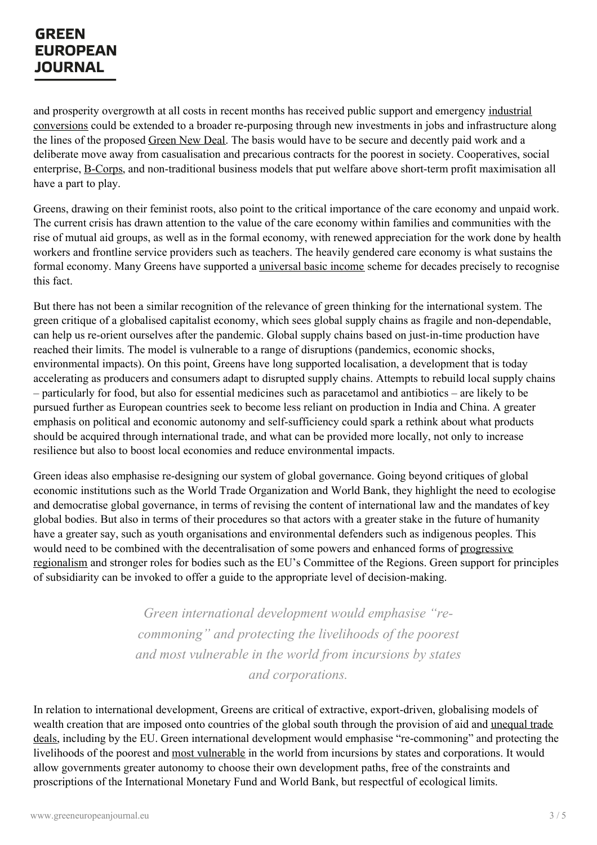and prosperity overgrowth at all costs in recent months has received public support and emergency industrial conversions could be extended to a broader re-purposing through new investments in jobs and [infrastructure](https://steps-centre.org/wp-content/uploads/2017/04/How_Did_We_Do_That.pdf) along the lines of the proposed [Green](https://www.rapidtransition.org/stories/the-new-deal-and-a-green-new-deal-turning-economic-and-environmental-disasters-into-an-opportunity-for-national-public-renewal/) New Deal. The basis would have to be secure and decently paid work and a deliberate move away from casualisation and precarious contracts for the poorest in society. Cooperatives, social enterprise, [B-Corps](https://www.rapidtransition.org/stories/new-economics-the-rise-of-the-b-corp/), and non-traditional business models that put welfare above short-term profit maximisation all have a part to play.

Greens, drawing on their feminist roots, also point to the critical importance of the care economy and unpaid work. The current crisis has drawn attention to the value of the care economy within families and communities with the rise of mutual aid groups, as well as in the formal economy, with renewed appreciation for the work done by health workers and frontline service providers such as teachers. The heavily gendered care economy is what sustains the formal economy. Many Greens have supported a *[universal](https://www.greeneuropeanjournal.eu/green-observatory-basic-income/) basic income* scheme for decades precisely to recognise this fact.

But there has not been a similar recognition of the relevance of green thinking for the international system. The green critique of a globalised capitalist economy, which sees global supply chains as fragile and non-dependable, can help us re-orient ourselves after the pandemic. Global supply chains based on just-in-time production have reached their limits. The model is vulnerable to a range of disruptions (pandemics, economic shocks, environmental impacts). On this point, Greens have long supported localisation, a development that is today accelerating as producers and consumers adapt to disrupted supply chains. Attempts to rebuild local supply chains – particularly for food, but also for essential medicines such as paracetamol and antibiotics – are likely to be pursued further as European countries seek to become less reliant on production in India and China. A greater emphasis on political and economic autonomy and self-sufficiency could spark a rethink about what products should be acquired through international trade, and what can be provided more locally, not only to increase resilience but also to boost local economies and reduce environmental impacts.

Green ideas also emphasise re-designing our system of global governance. Going beyond critiques of global economic institutions such as the World Trade Organization and World Bank, they highlight the need to ecologise and democratise global governance, in terms of revising the content of international law and the mandates of key global bodies. But also in terms of their procedures so that actors with a greater stake in the future of humanity have a greater say, such as youth organisations and environmental defenders such as indigenous peoples. This would need to be combined with the [decentralisation](https://www.greeneuropeanjournal.eu/perfect-complements-is-regionalism-the-way-forward-for-europe/) of some powers and enhanced forms of progressive regionalism and stronger roles for bodies such as the EU's Committee of the Regions. Green support for principles of subsidiarity can be invoked to offer a guide to the appropriate level of decision-making.

> *Green international development would emphasise "recommoning" and protecting the livelihoods of the poorest and most vulnerable in the world from incursions by states and corporations.*

In relation to [internationa](https://www.greeneuropeanjournal.eu)l development, Greens are critical of extractive, export-driven, globalising models of wealth creation that are imposed onto countries of the global south through the provision of aid and unequal trade deals, including by the EU. Green international development would emphasise ["re-commoning"](https://www.greeneuropeanjournal.eu/the-eu-mercosur-trade-deal-must-be-stopped/) and protecting the livelihoods of the poorest and most [vulnerable](https://www.greeneuropeanjournal.eu/vulnerability-and-the-green-new-deal-a-note-of-caution/) in the world from incursions by states and corporations. It would allow governments greater autonomy to choose their own development paths, free of the constraints and proscriptions of the International Monetary Fund and World Bank, but respectful of ecological limits.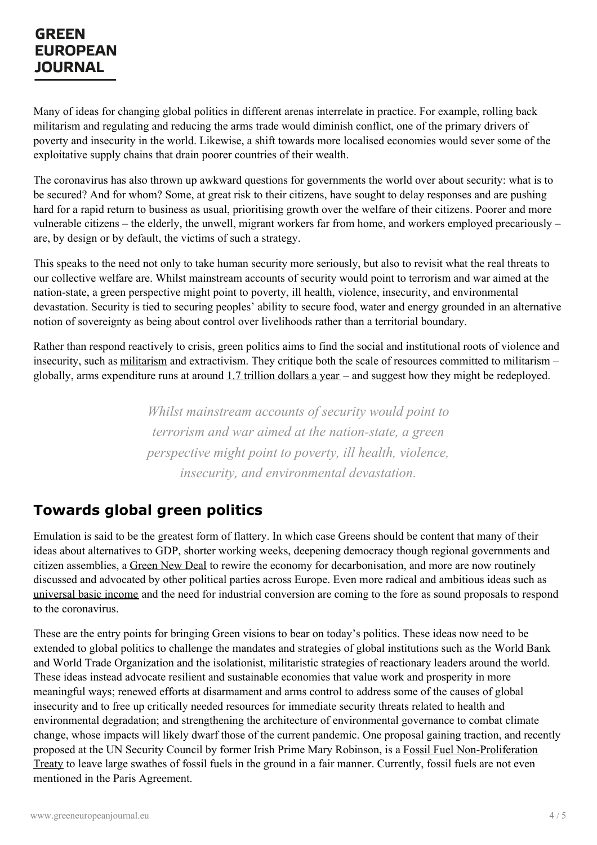Many of ideas for changing global politics in different arenas interrelate in practice. For example, rolling back militarism and regulating and reducing the arms trade would diminish conflict, one of the primary drivers of poverty and insecurity in the world. Likewise, a shift towards more localised economies would sever some of the exploitative supply chains that drain poorer countries of their wealth.

The coronavirus has also thrown up awkward questions for governments the world over about security: what is to be secured? And for whom? Some, at great risk to their citizens, have sought to delay responses and are pushing hard for a rapid return to business as usual, prioritising growth over the welfare of their citizens. Poorer and more vulnerable citizens – the elderly, the unwell, migrant workers far from home, and workers employed precariously – are, by design or by default, the victims of such a strategy.

This speaks to the need not only to take human security more seriously, but also to revisit what the real threats to our collective welfare are. Whilst mainstream accounts of security would point to terrorism and war aimed at the nation-state, a green perspective might point to poverty, ill health, violence, insecurity, and environmental devastation. Security is tied to securing peoples' ability to secure food, water and energy grounded in an alternative notion of sovereignty as being about control over livelihoods rather than a territorial boundary.

Rather than respond reactively to crisis, green politics aims to find the social and institutional roots of violence and insecurity, such as [militarism](https://www.greeneuropeanjournal.eu/how-much-military-is-enough/) and extractivism. They critique both the scale of resources committed to militarism – globally, arms expenditure runs at around 1.7 trillion [dollars](https://www.sipri.org/media/press-release/2018/global-military-spending-remains-high-17-trillion) a year – and suggest how they might be redeployed.

> *Whilst mainstream accounts of security would point to terrorism and war aimed at the nation-state, a green perspective might point to poverty, ill health, violence, insecurity, and environmental devastation.*

# **Towards global green politics**

Emulation is said to be the greatest form of flattery. In which case Greens should be content that many of their ideas about alternatives to GDP, shorter working weeks, deepening democracy though regional governments and citizen assemblies, a [Green](https://www.greeneuropeanjournal.eu/investing-in-the-future-why-europe-needs-a-green-new-deal/) New Deal to rewire the economy for decarbonisation, and more are now routinely discussed and advocated by other political parties across Europe. Even more radical and ambitious ideas such as [universal](https://www.greeneuropeanjournal.eu/basic-income-and-pandemic-preparedness/) basic income and the need for industrial conversion are coming to the fore as sound proposals to respond to the coronavirus.

These are the entry points for bringing Green visions to bear on today's politics. These ideas now need to be extended to global politics to challenge the mandates and strategies of global institutions such as the World Bank and World Trade Organization and the isolationist, militaristic strategies of reactionary leaders around the world. These ideas instead advocate resilient and sustainable economies that value work and prosperity in more meaningful ways; renewed efforts at disarmament and arms control to address some of the causes of global [insecurity](https://www.greeneuropeanjournal.eu) and to free up critically needed resources for immediate security threats related to health and environmental degradation; and strengthening the architecture of environmental governance to combat climate change, whose impacts will likely dwarf those of the current pandemic. One proposal gaining traction, and recently proposed at the UN Security Council by former Irish Prime Mary Robinson, is a Fossil Fuel [Non-Proliferation](https://www.fossilfueltreaty.org/) Treaty to leave large swathes of fossil fuels in the ground in a fair manner. Currently, fossil fuels are not even mentioned in the Paris Agreement.